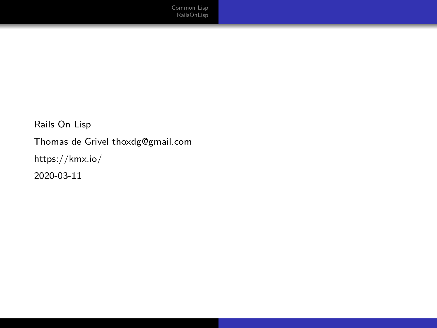Rails On Lisp Thomas de Grivel [thoxdg@gmail.com](mailto:thoxdg@gmail.com) <https://kmx.io/> 2020-03-11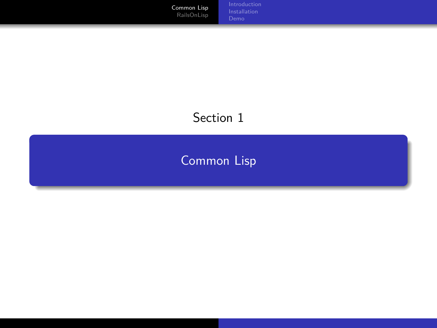<span id="page-1-0"></span>[Common Lisp](#page-1-0) [RailsOnLisp](#page-22-0) [Installation](#page-5-0)

#### Section 1

## [Common Lisp](#page-1-0)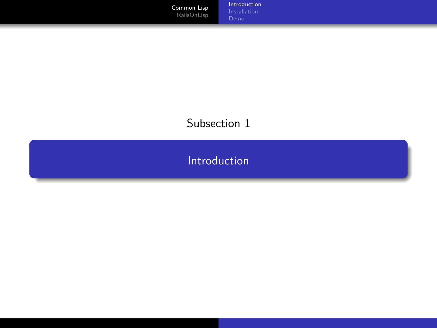<span id="page-2-0"></span>[Common Lisp](#page-1-0) [RailsOnLisp](#page-22-0)

[Introduction](#page-2-0) [Installation](#page-5-0)

#### Subsection 1

[Introduction](#page-2-0)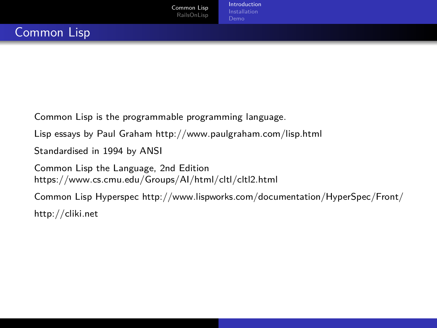Common Lisp is the programmable programming language.

Lisp essays by Paul Graham<http://www.paulgraham.com/lisp.html>

Standardised in 1994 by ANSI

Common Lisp the Language, 2nd Edition <https://www.cs.cmu.edu/Groups/AI/html/cltl/cltl2.html>

Common Lisp Hyperspec<http://www.lispworks.com/documentation/HyperSpec/Front/> <http://cliki.net>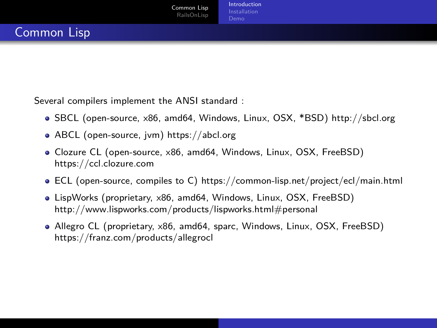Several compilers implement the ANSI standard :

- SBCL (open-source, x86, amd64, Windows, Linux, OSX, \*BSD)<http://sbcl.org>
- ABCL (open-source, jvm)<https://abcl.org>
- Clozure CL (open-source, x86, amd64, Windows, Linux, OSX, FreeBSD) <https://ccl.clozure.com>
- ECL (open-source, compiles to C)<https://common-lisp.net/project/ecl/main.html>
- LispWorks (proprietary, x86, amd64, Windows, Linux, OSX, FreeBSD) <http://www.lispworks.com/products/lispworks.html#personal>
- Allegro CL (proprietary, x86, amd64, sparc, Windows, Linux, OSX, FreeBSD) <https://franz.com/products/allegrocl>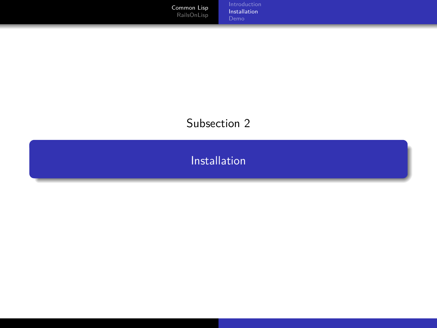<span id="page-5-0"></span>[Common Lisp](#page-1-0) [RailsOnLisp](#page-22-0)

[Installation](#page-5-0)

#### Subsection 2

[Installation](#page-5-0)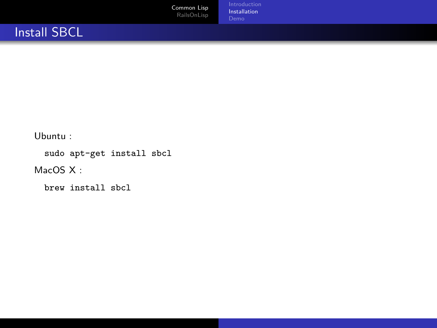

[Installation](#page-5-0)

#### Install SBCL

Ubuntu :

sudo apt-get install sbcl

MacOS X:

brew install sbcl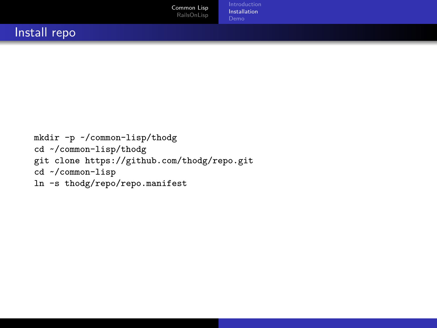```
mkdir -p ~/common-lisp/thodg
cd ~/common-lisp/thodg
git clone https://github.com/thodg/repo.git
cd ~/common-lisp
ln -s thodg/repo/repo.manifest
```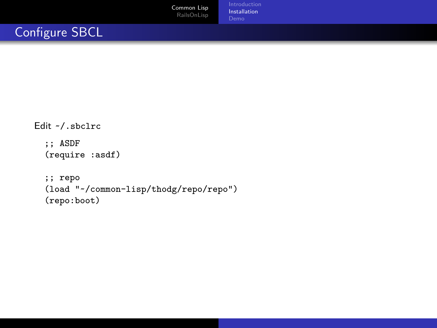[Installation](#page-5-0)

#### Configure SBCL

```
Edit ~/.sbclrc
  ;; ASDF
  (require :asdf)
  ;; repo
  (load "~/common-lisp/thodg/repo/repo")
  (repo:boot)
```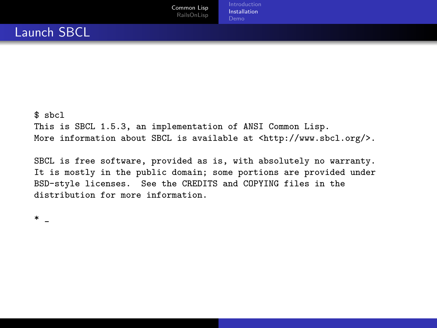\$ sbcl This is SBCL 1.5.3, an implementation of ANSI Common Lisp. More information about SBCL is available at <http://www.sbcl.org/>.

SBCL is free software, provided as is, with absolutely no warranty. It is mostly in the public domain; some portions are provided under BSD-style licenses. See the CREDITS and COPYING files in the distribution for more information.

\* \_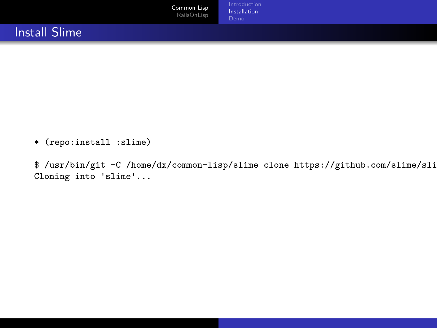

\* (repo:install :slime)

\$ /usr/bin/git -C /home/dx/common-lisp/slime clone https://github.com/slime/sli Cloning into 'slime'...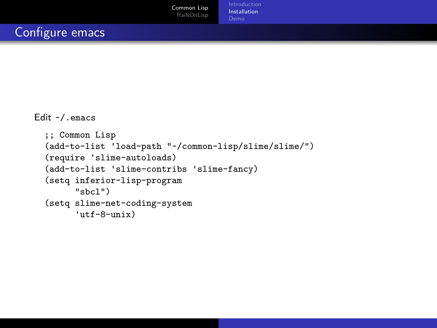[Introduction](#page-2-0) [Installation](#page-5-0) [Demo](#page-12-0)

```
Edit ~/.emacs
  ;; Common Lisp
  (add-to-list 'load-path "~/common-lisp/slime/slime/")
  (require 'slime-autoloads)
  (add-to-list 'slime-contribs 'slime-fancy)
  (setq inferior-lisp-program
        "sbcl")
  (setq slime-net-coding-system
        'utf-8-unix)
```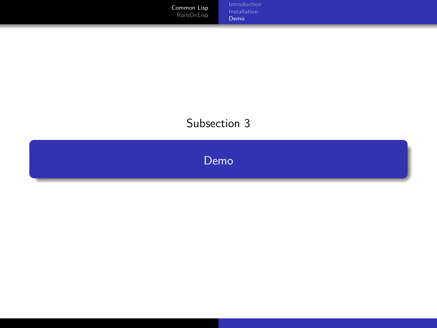<span id="page-12-0"></span>[Common Lisp](#page-1-0) [RailsOnLisp](#page-22-0) [Installation](#page-5-0) [Demo](#page-12-0)

#### Subsection 3

[Demo](#page-12-0)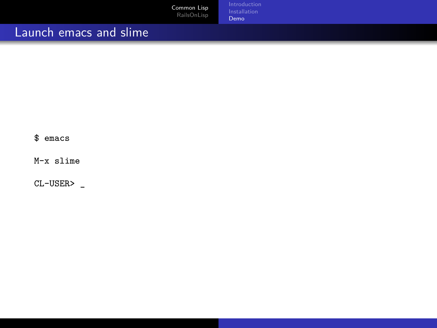|                        | Common Lisp<br>RailsOnLisp | Introduction<br>Installation<br>Demo <sup>1</sup> |
|------------------------|----------------------------|---------------------------------------------------|
| Launch emacs and slime |                            |                                                   |

\$ emacs

M-x slime

CL-USER> \_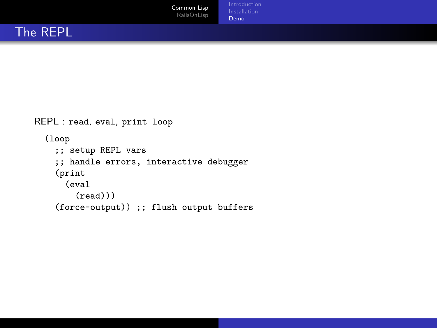```
REPL : read, eval, print loop
  (loop
    ;; setup REPL vars
    ;; handle errors, interactive debugger
    (print
      (eval
        (\text{read}))(force-output)) ;; flush output buffers
```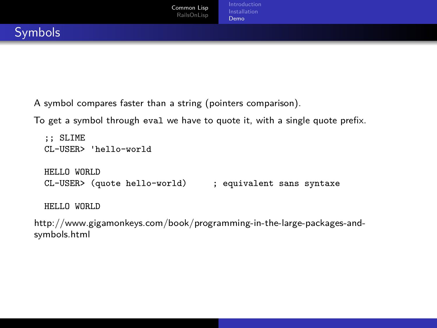A symbol compares faster than a string (pointers comparison).

To get a symbol through eval we have to quote it, with a single quote prefix.

```
;; SLIME
CL-USER> 'hello-world
HELLO WORLD
CL-USER> (quote hello-world) ; equivalent sans syntaxe
HELLO WORLD
```
[http://www.gigamonkeys.com/book/programming-in-the-large-packages-and](http://www.gigamonkeys.com/book/programming-in-the-large-packages-and-symbols.html)[symbols.html](http://www.gigamonkeys.com/book/programming-in-the-large-packages-and-symbols.html)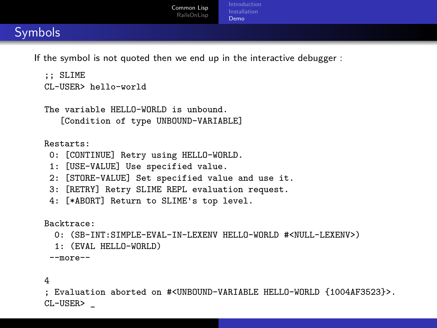If the symbol is not quoted then we end up in the interactive debugger :

```
:: SLIME
CL-USER> hello-world
```

```
The variable HELLO-WORLD is unbound.
   [Condition of type UNBOUND-VARIABLE]
```
Restarts:

- 0: [CONTINUE] Retry using HELLO-WORLD.
- 1: [USE-VALUE] Use specified value.
- 2: [STORE-VALUE] Set specified value and use it.
- 3: [RETRY] Retry SLIME REPL evaluation request.
- 4: [\*ABORT] Return to SLIME's top level.

Backtrace:

- 0: (SB-INT:SIMPLE-EVAL-IN-LEXENV HELLO-WORLD #<NULL-LEXENV>)
- 1: (EVAL HELLO-WORLD)

--more--

4

; Evaluation aborted on #<UNBOUND-VARIABLE HELLO-WORLD {1004AF3523}>. CL-USER> \_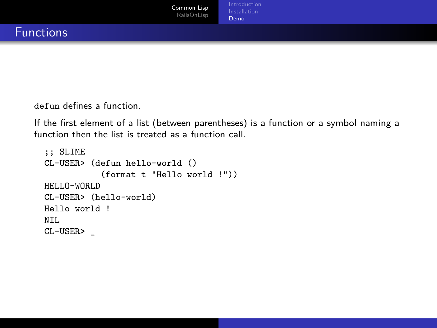defun defines a function.

If the first element of a list (between parentheses) is a function or a symbol naming a function then the list is treated as a function call.

```
;; SLIME
CL-USER> (defun hello-world ()
           (format t "Hello world !"))
HELLO-WORLD
CL-USER> (hello-world)
Hello world !
NTI.
CL-USER> _
```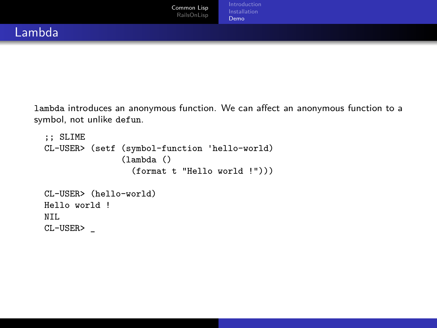lambda introduces an anonymous function. We can affect an anonymous function to a symbol, not unlike defun.

```
;; SLIME
CL-USER> (setf (symbol-function 'hello-world)
               (lambda ()
                 (format t "Hello world !")))
CL-USER> (hello-world)
Hello world !
NTI.
CL-USER> _
```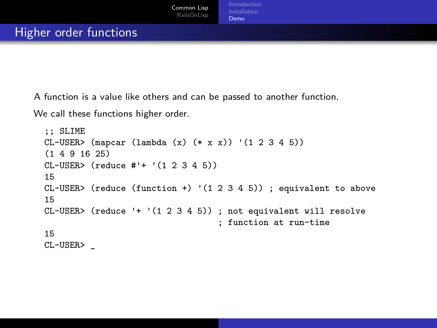A function is a value like others and can be passed to another function.

We call these functions higher order.

```
;; SLIME
CL-USER> (mapcar (lambda (x) (* x x)) '(1 2 3 4 5))
(1 4 9 16 25)
CL-USER> (reduce #'+ '(1 2 3 4 5))
15
CL-USER> (reduce (function +) (1\ 2\ 3\ 4\ 5)); equivalent to above
15
CL-USER> (reduce '+ '(1 2 3 4 5)) ; not equivalent will resolve
                                   ; function at run-time
15
CL-USER> _
```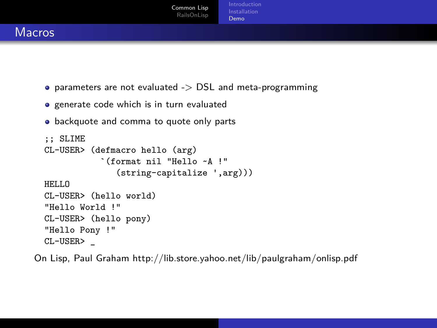

- $\bullet$  parameters are not evaluated  $\geq$  DSL and meta-programming
- **•** generate code which is in turn evaluated
- **•** backquote and comma to quote only parts

```
;; SLIME
CL-USER> (defmacro hello (arg)
           `(format nil "Hello ~A !"
              (string-capitalize ',arg)))
HELLO
CL-USER> (hello world)
"Hello World !"
CL-USER> (hello pony)
"Hello Pony !"
CL-USER> _
```
On Lisp, Paul Graham<http://lib.store.yahoo.net/lib/paulgraham/onlisp.pdf>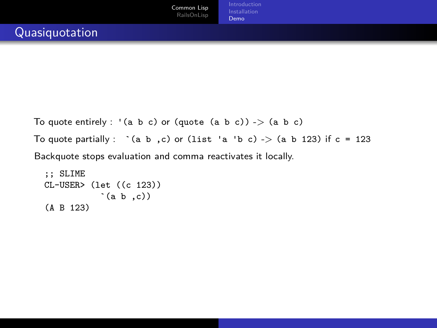```
To quote entirely : '(a b c) or (quote (a b c)) -> (a b c)To quote partially : \hat{c} (a b,c) or (list 'a 'b c) -> (a b 123) if c = 123
Backquote stops evaluation and comma reactivates it locally.
```

```
;; SLIME
CL-USER> (let ((c 123))
            \hat{a} (a b ,c))
(A B 123)
```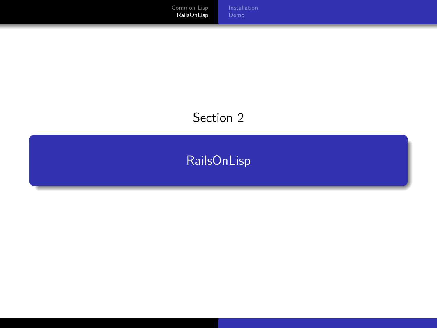<span id="page-22-0"></span>[RailsOnLisp](#page-22-0)

## Section 2

# [RailsOnLisp](#page-22-0)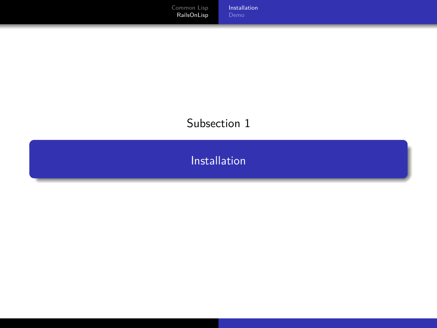#### <span id="page-23-0"></span>Subsection 1

[Installation](#page-23-0)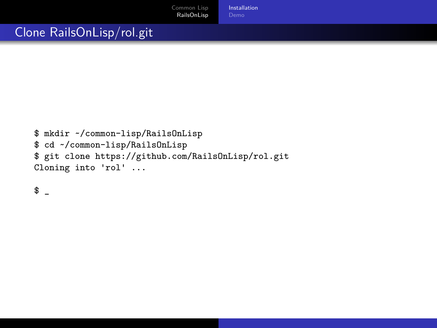[Installation](#page-23-0)

#### Clone RailsOnLisp/rol.git

```
$ mkdir ~/common-lisp/RailsOnLisp
$ cd ~/common-lisp/RailsOnLisp
$ git clone https://github.com/RailsOnLisp/rol.git
Cloning into 'rol' ...
```
 $\frac{1}{2}$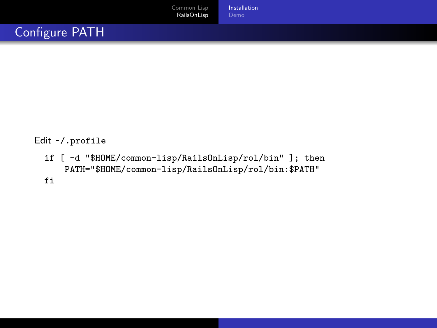#### Edit ~/.profile

if [ -d "\$HOME/common-lisp/RailsOnLisp/rol/bin" ]; then PATH="\$HOME/common-lisp/RailsOnLisp/rol/bin:\$PATH" fi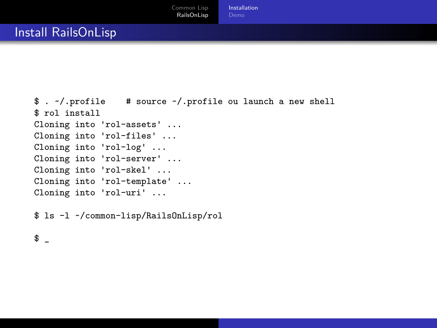```
$ . ~/.profile # source ~/.profile ou launch a new shell
$ rol install
Cloning into 'rol-assets' ...
Cloning into 'rol-files' ...
Cloning into 'rol-log' ...
Cloning into 'rol-server' ...
Cloning into 'rol-skel' ...
Cloning into 'rol-template' ...
Cloning into 'rol-uri' ...
```
\$ ls -l ~/common-lisp/RailsOnLisp/rol

 $\updownarrow$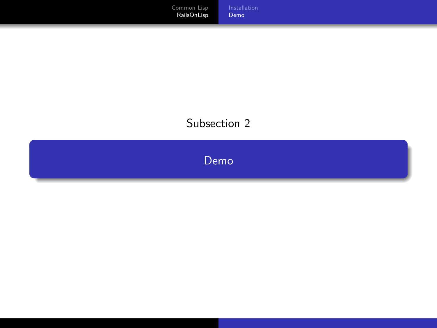#### [Demo](#page-27-0)

#### Subsection 2

<span id="page-27-0"></span>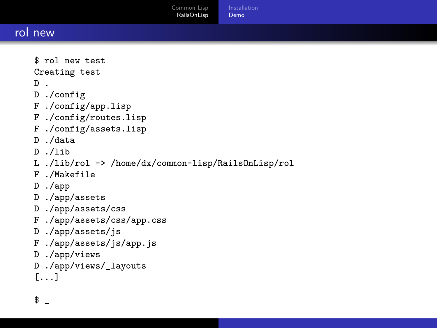[Common Lisp](#page-1-0) [RailsOnLisp](#page-22-0) [Installation](#page-23-0) [Demo](#page-27-0)

 $\updownarrow$ 

```
$ rol new test
Creating test
D .
D ./config
F ./config/app.lisp
F ./config/routes.lisp
F ./config/assets.lisp
D ./data
D ./lib
L ./lib/rol -> /home/dx/common-lisp/RailsOnLisp/rol
F ./Makefile
D ./app
D ./app/assets
D ./app/assets/css
F ./app/assets/css/app.css
D ./app/assets/js
F ./app/assets/js/app.js
D ./app/views
D ./app/views/_layouts
[...]
```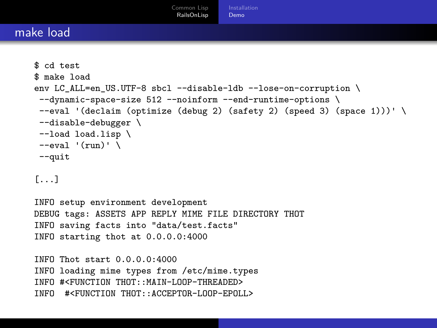```
$ cd test
$ make load
env LC_ALL=en_US.UTF-8 sbcl --disable-ldb --lose-on-corruption \
 --dynamic-space-size 512 --noinform --end-runtime-options \
 --eval '(declaim (optimize (debug 2) (safety 2) (speed 3) (space 1)))' \
 --disable-debugger \
 --load load.lisp \
 --eval' (run)' \lambda--quit
[...]
INFO setup environment development
DEBUG tags: ASSETS APP REPLY MIME FILE DIRECTORY THOT
INFO saving facts into "data/test.facts"
INFO starting thot at 0.0.0.0:4000
INFO Thot start 0.0.0 0.4000INFO loading mime types from /etc/mime.types
INFO #<FUNCTION THOT::MAIN-LOOP-THREADED>
INFO #<FUNCTION THOT::ACCEPTOR-LOOP-EPOLL>
```